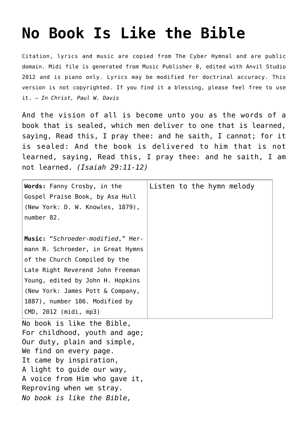## **[No Book Is Like the Bible](http://reproachofmen.org/hymns-and-music/no-book-is-like-the-bible/)**

Citation, lyrics and music are copied from [The Cyber Hymnal](http://www.hymntime.com/tch/) and are public domain. Midi file is generated from Music Publisher 8, edited with Anvil Studio 2012 and is piano only. Lyrics may be modified for doctrinal accuracy. This version is not copyrighted. If you find it a blessing, please feel free to use it. — *In Christ, Paul W. Davis*

And the vision of all is become unto you as the words of a book that is sealed, which men deliver to one that is learned, saying, Read this, I pray thee: and he saith, I cannot; for it is sealed: And the book is delivered to him that is not learned, saying, Read this, I pray thee: and he saith, I am not learned. *(Isaiah 29:11-12)*

| Words: Fanny Crosby, in the<br>Gospel Praise Book, by Asa Hull<br>(New York: D. W. Knowles, 1879),<br>number 82.                                                                                                                                                               | Listen to the hymn melody |
|--------------------------------------------------------------------------------------------------------------------------------------------------------------------------------------------------------------------------------------------------------------------------------|---------------------------|
| Music: "Schroeder-modified," Her-<br>mann R. Schroeder, in Great Hymns<br>of the Church Compiled by the<br>Late Right Reverend John Freeman<br>Young, edited by John H. Hopkins<br>(New York: James Pott & Company,<br>1887), number 106. Modified by<br>CMD, 2012 (midi, mp3) |                           |
| No book is like the Bible,<br>For childhood, youth and age;<br>Our duty, plain and simple,<br>We find on every page.<br>It came by inspiration,<br>A light to guide our way,<br>A voice from Him who gave it,<br>Reproving when we stray.<br>No book is like the Bible,        |                           |